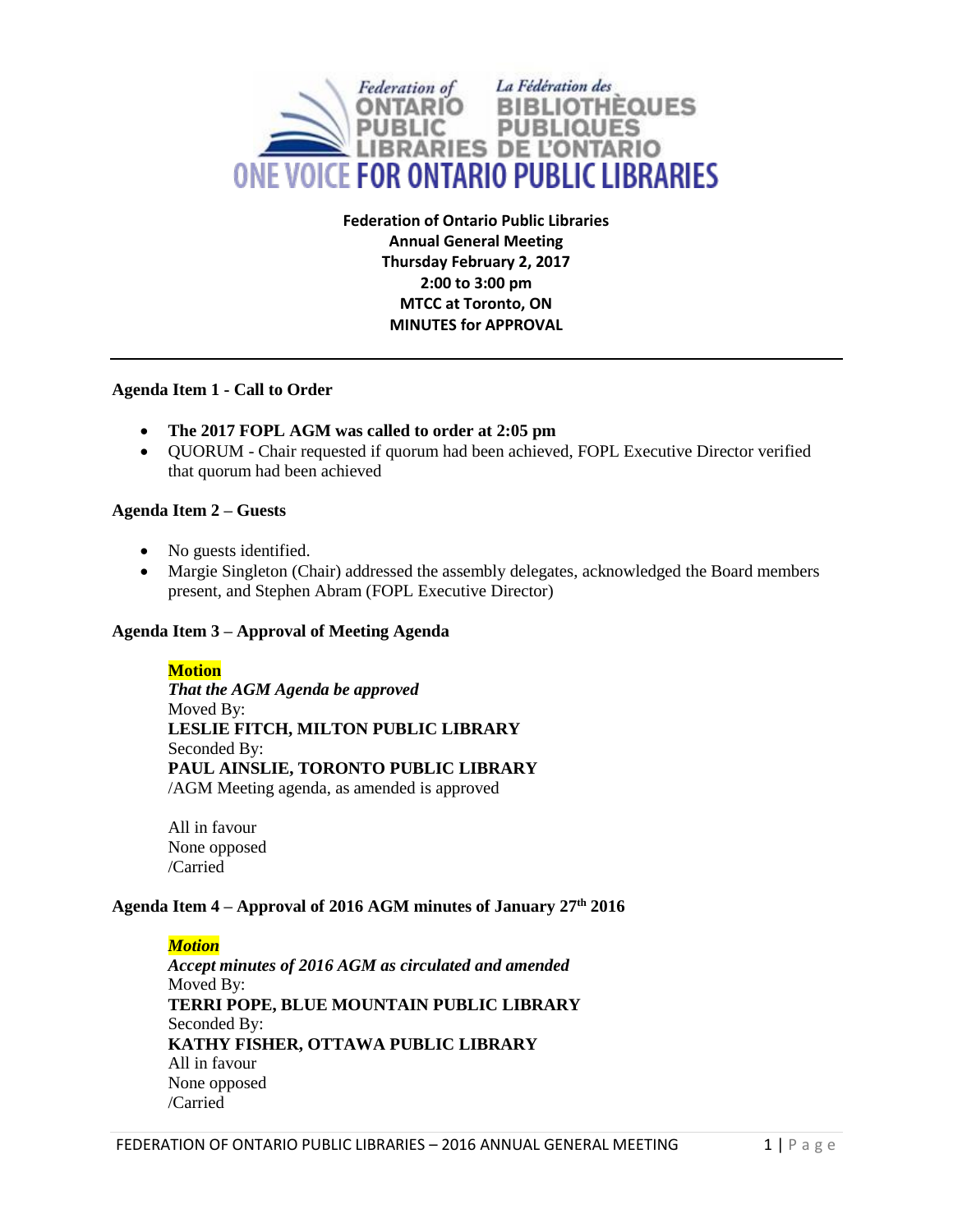

**Federation of Ontario Public Libraries Annual General Meeting Thursday February 2, 2017 2:00 to 3:00 pm MTCC at Toronto, ON MINUTES for APPROVAL**

## **Agenda Item 1 - Call to Order**

- **The 2017 FOPL AGM was called to order at 2:05 pm**
- QUORUM Chair requested if quorum had been achieved, FOPL Executive Director verified that quorum had been achieved

## **Agenda Item 2 – Guests**

- No guests identified.
- Margie Singleton (Chair) addressed the assembly delegates, acknowledged the Board members present, and Stephen Abram (FOPL Executive Director)

#### **Agenda Item 3 – Approval of Meeting Agenda**

#### **Motion**

*That the AGM Agenda be approved*  Moved By: **LESLIE FITCH, MILTON PUBLIC LIBRARY**  Seconded By: **PAUL AINSLIE, TORONTO PUBLIC LIBRARY** /AGM Meeting agenda, as amended is approved

All in favour None opposed /Carried

# **Agenda Item 4 – Approval of 2016 AGM minutes of January 27 th 2016**

*Motion Accept minutes of 2016 AGM as circulated and amended* Moved By: **TERRI POPE, BLUE MOUNTAIN PUBLIC LIBRARY** Seconded By: **KATHY FISHER, OTTAWA PUBLIC LIBRARY** All in favour None opposed /Carried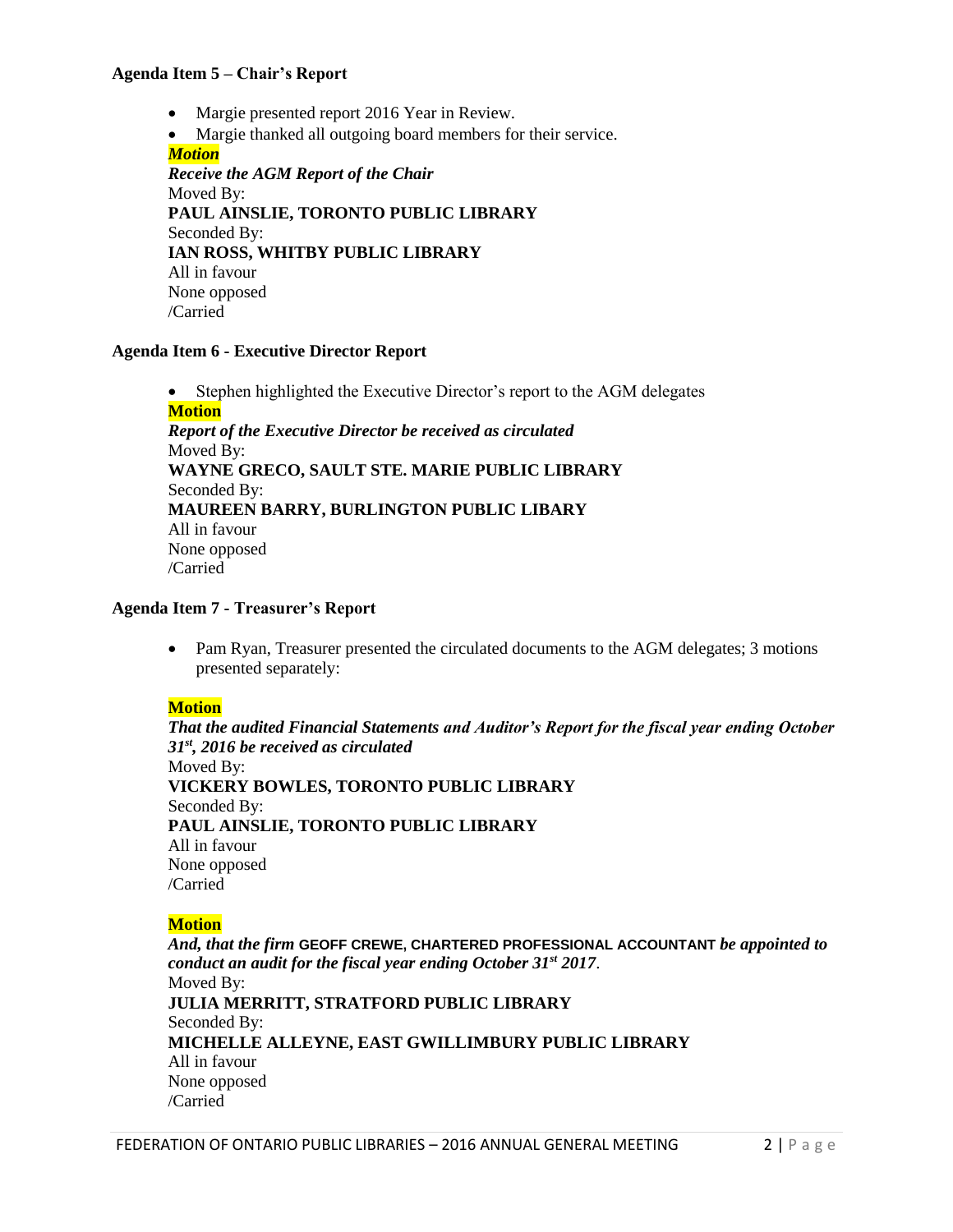#### **Agenda Item 5 – Chair's Report**

- Margie presented report 2016 Year in Review.
- Margie thanked all outgoing board members for their service.

*Motion Receive the AGM Report of the Chair* Moved By: **PAUL AINSLIE, TORONTO PUBLIC LIBRARY** Seconded By: **IAN ROSS, WHITBY PUBLIC LIBRARY** All in favour None opposed /Carried

## **Agenda Item 6 - Executive Director Report**

• Stephen highlighted the Executive Director's report to the AGM delegates **Motion** *Report of the Executive Director be received as circulated* Moved By: **WAYNE GRECO, SAULT STE. MARIE PUBLIC LIBRARY** Seconded By: **MAUREEN BARRY, BURLINGTON PUBLIC LIBARY** All in favour None opposed /Carried

#### **Agenda Item 7 - Treasurer's Report**

• Pam Ryan, Treasurer presented the circulated documents to the AGM delegates; 3 motions presented separately:

#### **Motion**

*That the audited Financial Statements and Auditor's Report for the fiscal year ending October 31st, 2016 be received as circulated* Moved By: **VICKERY BOWLES, TORONTO PUBLIC LIBRARY** Seconded By: **PAUL AINSLIE, TORONTO PUBLIC LIBRARY** All in favour None opposed /Carried

#### **Motion**

*And, that the firm* **GEOFF CREWE, CHARTERED PROFESSIONAL ACCOUNTANT** *be appointed to conduct an audit for the fiscal year ending October 31st 2017*. Moved By: **JULIA MERRITT, STRATFORD PUBLIC LIBRARY** Seconded By: **MICHELLE ALLEYNE, EAST GWILLIMBURY PUBLIC LIBRARY** All in favour None opposed /Carried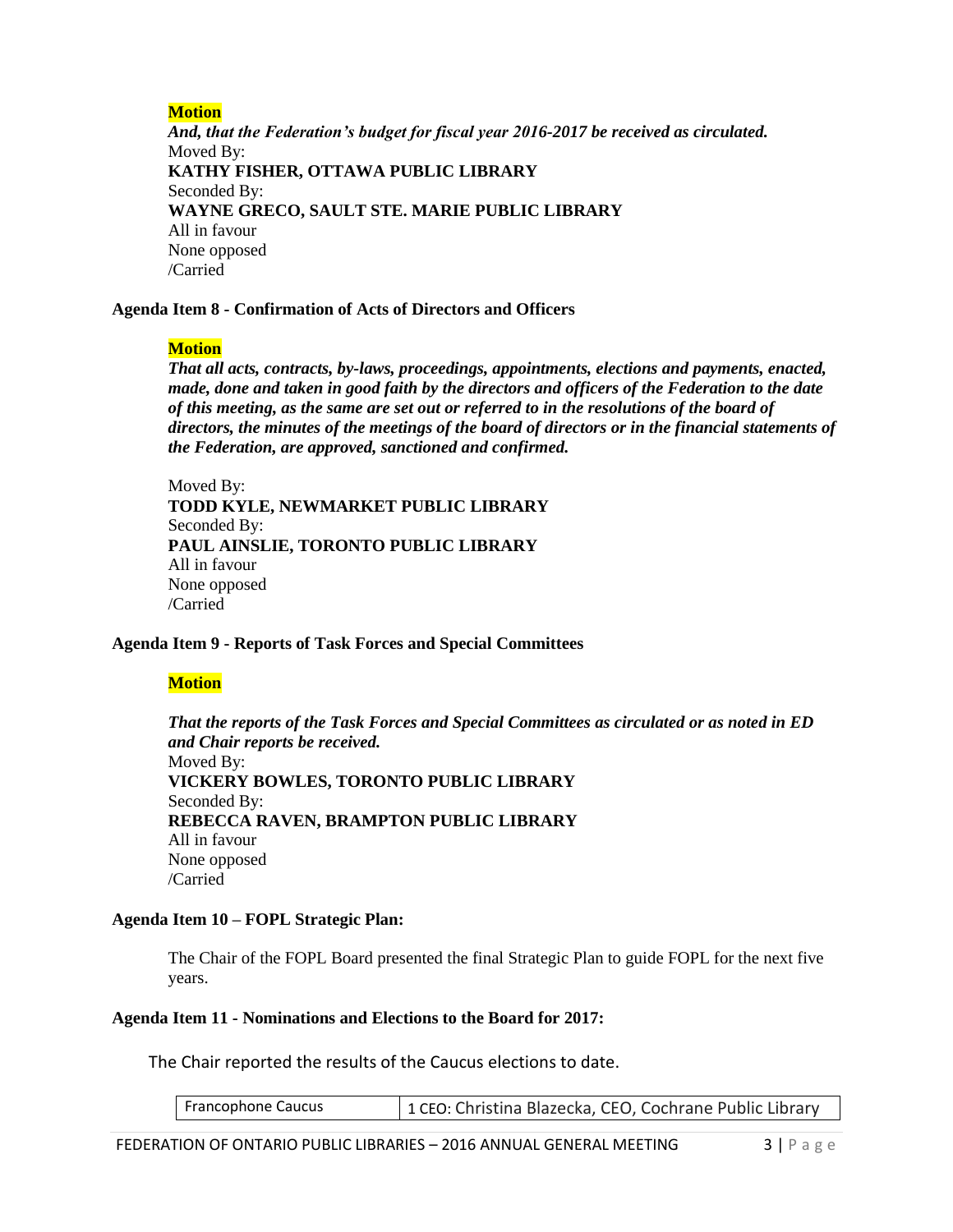# **Motion**

*And, that the Federation's budget for fiscal year 2016-2017 be received as circulated.* Moved By: **KATHY FISHER, OTTAWA PUBLIC LIBRARY** Seconded By: **WAYNE GRECO, SAULT STE. MARIE PUBLIC LIBRARY** All in favour None opposed /Carried

#### **Agenda Item 8 - Confirmation of Acts of Directors and Officers**

## **Motion**

*That all acts, contracts, by-laws, proceedings, appointments, elections and payments, enacted, made, done and taken in good faith by the directors and officers of the Federation to the date of this meeting, as the same are set out or referred to in the resolutions of the board of directors, the minutes of the meetings of the board of directors or in the financial statements of the Federation, are approved, sanctioned and confirmed.* 

Moved By: **TODD KYLE, NEWMARKET PUBLIC LIBRARY** Seconded By: **PAUL AINSLIE, TORONTO PUBLIC LIBRARY** All in favour None opposed /Carried

#### **Agenda Item 9 - Reports of Task Forces and Special Committees**

#### **Motion**

*That the reports of the Task Forces and Special Committees as circulated or as noted in ED and Chair reports be received.*  Moved By: **VICKERY BOWLES, TORONTO PUBLIC LIBRARY** Seconded By: **REBECCA RAVEN, BRAMPTON PUBLIC LIBRARY** All in favour None opposed /Carried

#### **Agenda Item 10 – FOPL Strategic Plan:**

The Chair of the FOPL Board presented the final Strategic Plan to guide FOPL for the next five years.

#### **Agenda Item 11 - Nominations and Elections to the Board for 2017:**

The Chair reported the results of the Caucus elections to date.

| Francophone Caucus |  | 1 CEO: Christina Blazecka, CEO, Cochrane Public Library |
|--------------------|--|---------------------------------------------------------|
|--------------------|--|---------------------------------------------------------|

FEDERATION OF ONTARIO PUBLIC LIBRARIES - 2016 ANNUAL GENERAL MEETING 3 | P a g e